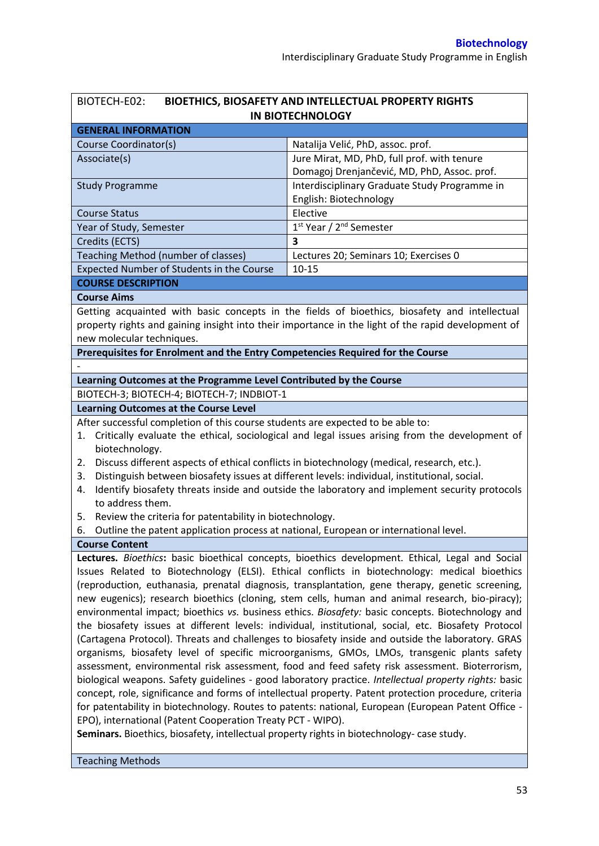| BIOTECH-E02:                                                                                                                                                                                              | BIOETHICS, BIOSAFETY AND INTELLECTUAL PROPERTY RIGHTS                                              |  |  |  |  |
|-----------------------------------------------------------------------------------------------------------------------------------------------------------------------------------------------------------|----------------------------------------------------------------------------------------------------|--|--|--|--|
|                                                                                                                                                                                                           | <b>IN BIOTECHNOLOGY</b>                                                                            |  |  |  |  |
| <b>GENERAL INFORMATION</b>                                                                                                                                                                                |                                                                                                    |  |  |  |  |
| Course Coordinator(s)                                                                                                                                                                                     | Natalija Velić, PhD, assoc. prof.                                                                  |  |  |  |  |
| Associate(s)                                                                                                                                                                                              | Jure Mirat, MD, PhD, full prof. with tenure                                                        |  |  |  |  |
|                                                                                                                                                                                                           | Domagoj Drenjančević, MD, PhD, Assoc. prof.                                                        |  |  |  |  |
| <b>Study Programme</b>                                                                                                                                                                                    | Interdisciplinary Graduate Study Programme in                                                      |  |  |  |  |
|                                                                                                                                                                                                           | English: Biotechnology                                                                             |  |  |  |  |
| <b>Course Status</b>                                                                                                                                                                                      | Elective                                                                                           |  |  |  |  |
| Year of Study, Semester                                                                                                                                                                                   | 1st Year / 2 <sup>nd</sup> Semester                                                                |  |  |  |  |
| Credits (ECTS)                                                                                                                                                                                            | $\overline{\mathbf{3}}$                                                                            |  |  |  |  |
| Teaching Method (number of classes)                                                                                                                                                                       | Lectures 20; Seminars 10; Exercises 0                                                              |  |  |  |  |
| Expected Number of Students in the Course                                                                                                                                                                 | $10 - 15$                                                                                          |  |  |  |  |
| <b>COURSE DESCRIPTION</b>                                                                                                                                                                                 |                                                                                                    |  |  |  |  |
| <b>Course Aims</b>                                                                                                                                                                                        |                                                                                                    |  |  |  |  |
|                                                                                                                                                                                                           | Getting acquainted with basic concepts in the fields of bioethics, biosafety and intellectual      |  |  |  |  |
|                                                                                                                                                                                                           | property rights and gaining insight into their importance in the light of the rapid development of |  |  |  |  |
| new molecular techniques.                                                                                                                                                                                 |                                                                                                    |  |  |  |  |
| Prerequisites for Enrolment and the Entry Competencies Required for the Course                                                                                                                            |                                                                                                    |  |  |  |  |
|                                                                                                                                                                                                           |                                                                                                    |  |  |  |  |
| Learning Outcomes at the Programme Level Contributed by the Course                                                                                                                                        |                                                                                                    |  |  |  |  |
| BIOTECH-3; BIOTECH-4; BIOTECH-7; INDBIOT-1                                                                                                                                                                |                                                                                                    |  |  |  |  |
| <b>Learning Outcomes at the Course Level</b>                                                                                                                                                              |                                                                                                    |  |  |  |  |
| After successful completion of this course students are expected to be able to:                                                                                                                           |                                                                                                    |  |  |  |  |
|                                                                                                                                                                                                           | 1. Critically evaluate the ethical, sociological and legal issues arising from the development of  |  |  |  |  |
| biotechnology.                                                                                                                                                                                            |                                                                                                    |  |  |  |  |
| 2.                                                                                                                                                                                                        | Discuss different aspects of ethical conflicts in biotechnology (medical, research, etc.).         |  |  |  |  |
| Distinguish between biosafety issues at different levels: individual, institutional, social.<br>3.                                                                                                        |                                                                                                    |  |  |  |  |
| 4.                                                                                                                                                                                                        | Identify biosafety threats inside and outside the laboratory and implement security protocols      |  |  |  |  |
| to address them.                                                                                                                                                                                          |                                                                                                    |  |  |  |  |
| Review the criteria for patentability in biotechnology.<br>5.<br>Outline the patent application process at national, European or international level.<br>6.                                               |                                                                                                    |  |  |  |  |
| <b>Course Content</b>                                                                                                                                                                                     |                                                                                                    |  |  |  |  |
|                                                                                                                                                                                                           | Lectures. Bioethics: basic bioethical concepts, bioethics development. Ethical, Legal and Social   |  |  |  |  |
|                                                                                                                                                                                                           |                                                                                                    |  |  |  |  |
| Issues Related to Biotechnology (ELSI). Ethical conflicts in biotechnology: medical bioethics                                                                                                             |                                                                                                    |  |  |  |  |
| (reproduction, euthanasia, prenatal diagnosis, transplantation, gene therapy, genetic screening,                                                                                                          |                                                                                                    |  |  |  |  |
| new eugenics); research bioethics (cloning, stem cells, human and animal research, bio-piracy);                                                                                                           |                                                                                                    |  |  |  |  |
| environmental impact; bioethics vs. business ethics. Biosafety: basic concepts. Biotechnology and<br>the biosafety issues at different levels: individual, institutional, social, etc. Biosafety Protocol |                                                                                                    |  |  |  |  |
| (Cartagena Protocol). Threats and challenges to biosafety inside and outside the laboratory. GRAS                                                                                                         |                                                                                                    |  |  |  |  |
| organisms, biosafety level of specific microorganisms, GMOs, LMOs, transgenic plants safety                                                                                                               |                                                                                                    |  |  |  |  |
| assessment, environmental risk assessment, food and feed safety risk assessment. Bioterrorism,                                                                                                            |                                                                                                    |  |  |  |  |
| biological weapons. Safety guidelines - good laboratory practice. Intellectual property rights: basic                                                                                                     |                                                                                                    |  |  |  |  |
| concept, role, significance and forms of intellectual property. Patent protection procedure, criteria                                                                                                     |                                                                                                    |  |  |  |  |
| for patentability in biotechnology. Routes to patents: national, European (European Patent Office -                                                                                                       |                                                                                                    |  |  |  |  |
| EPO), international (Patent Cooperation Treaty PCT - WIPO).                                                                                                                                               |                                                                                                    |  |  |  |  |
| Seminars. Bioethics, biosafety, intellectual property rights in biotechnology-case study.                                                                                                                 |                                                                                                    |  |  |  |  |
|                                                                                                                                                                                                           |                                                                                                    |  |  |  |  |
| <b>Teaching Methods</b>                                                                                                                                                                                   |                                                                                                    |  |  |  |  |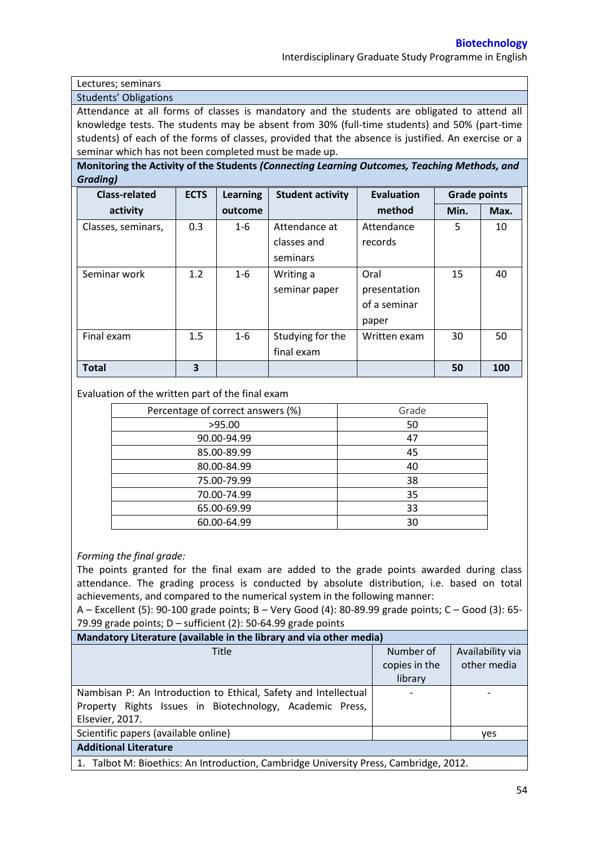Interdisciplinary Graduate Study Programme in English

Lectures; seminars

Students' Obligations

Attendance at all forms of classes is mandatory and the students are obligated to attend all knowledge tests. The students may be absent from 30% (full-time students) and 50% (part-time students) of each of the forms of classes, provided that the absence is justified. An exercise or a seminar which has not been completed must be made up.

**Monitoring the Activity of the Students** *(Connecting Learning Outcomes, Teaching Methods, and Grading)*

| <b>Class-related</b> | <b>ECTS</b> | <b>Learning</b> | <b>Student activity</b> | <b>Evaluation</b> | <b>Grade points</b> |      |
|----------------------|-------------|-----------------|-------------------------|-------------------|---------------------|------|
| activity             |             | outcome         |                         | method            | Min.                | Max. |
| Classes, seminars,   | 0.3         | $1 - 6$         | Attendance at           | Attendance        | 5                   | 10   |
|                      |             |                 | classes and             | records           |                     |      |
|                      |             |                 | seminars                |                   |                     |      |
| Seminar work         | 1.2         | $1 - 6$         | Writing a               | Oral              | 15                  | 40   |
|                      |             |                 | seminar paper           | presentation      |                     |      |
|                      |             |                 |                         | of a seminar      |                     |      |
|                      |             |                 |                         | paper             |                     |      |
| Final exam           | 1.5         | $1 - 6$         | Studying for the        | Written exam      | 30                  | 50   |
|                      |             |                 | final exam              |                   |                     |      |
| <b>Total</b>         | 3           |                 |                         |                   | 50                  | 100  |

Evaluation of the written part of the final exam

| Percentage of correct answers (%) | Grade |
|-----------------------------------|-------|
| >95.00                            | 50    |
| 90.00-94.99                       | 47    |
| 85.00-89.99                       | 45    |
| 80.00-84.99                       | 40    |
| 75.00-79.99                       | 38    |
| 70.00-74.99                       | 35    |
| 65.00-69.99                       | 33    |
| 60.00-64.99                       | 30    |

## *Forming the final grade:*

The points granted for the final exam are added to the grade points awarded during class attendance. The grading process is conducted by absolute distribution, i.e. based on total achievements, and compared to the numerical system in the following manner:

A – Excellent (5): 90-100 grade points; B – Very Good (4): 80-89.99 grade points; C – Good (3): 65- 79.99 grade points;  $D$  – sufficient (2): 50-64.99 grade points

| Mandatory Literature (available in the library and via other media)                   |               |                  |  |  |  |  |
|---------------------------------------------------------------------------------------|---------------|------------------|--|--|--|--|
| <b>Title</b>                                                                          | Number of     | Availability via |  |  |  |  |
|                                                                                       | copies in the | other media      |  |  |  |  |
|                                                                                       | library       |                  |  |  |  |  |
| Nambisan P: An Introduction to Ethical, Safety and Intellectual                       |               |                  |  |  |  |  |
| Property Rights Issues in Biotechnology, Academic Press,                              |               |                  |  |  |  |  |
| Elsevier, 2017.                                                                       |               |                  |  |  |  |  |
| Scientific papers (available online)                                                  |               | <b>ves</b>       |  |  |  |  |
| <b>Additional Literature</b>                                                          |               |                  |  |  |  |  |
| 1. Talbot M: Bioethics: An Introduction, Cambridge University Press, Cambridge, 2012. |               |                  |  |  |  |  |